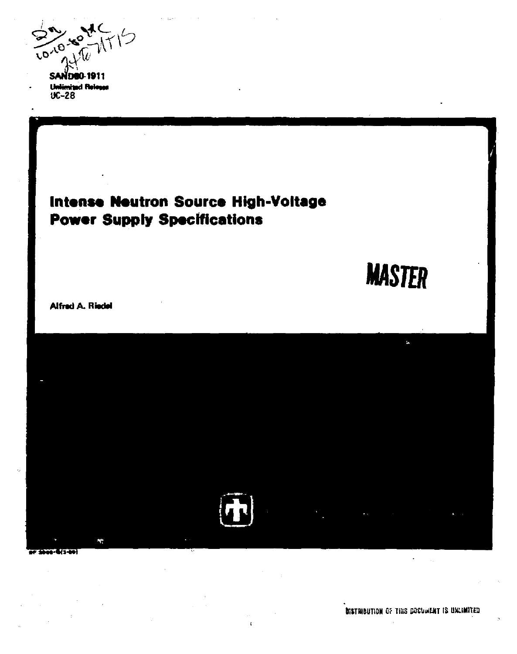toro so MTIS **SANDON 1911** 

**Service** 

**Unlimited Release**  $10C - 28$ 

# Intense Neutron Source High-Voltage **Power Supply Specifications MASTER** Alfred A. Riedel ×

**The Secret**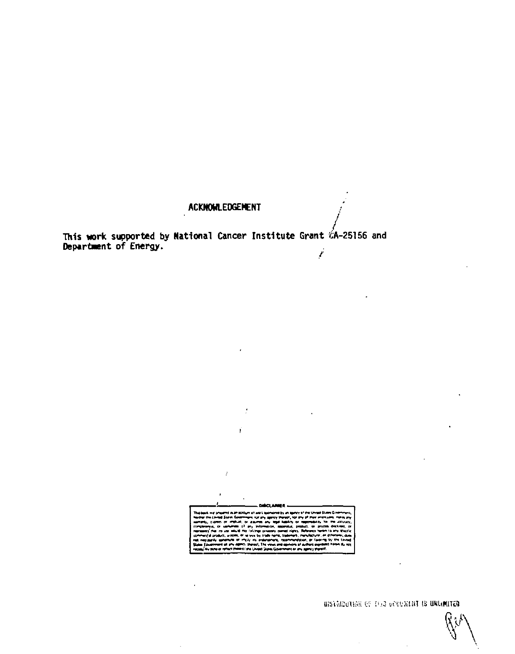# **ACKNOWLEDGEMENT**

This work supported by National Cancer Institute Grant 2A-25156 and<br>Department of Energy. j



 $\mathcal{I}$ 

BISTMOUTINE OF THIS UPDENED IS UNLIMITED.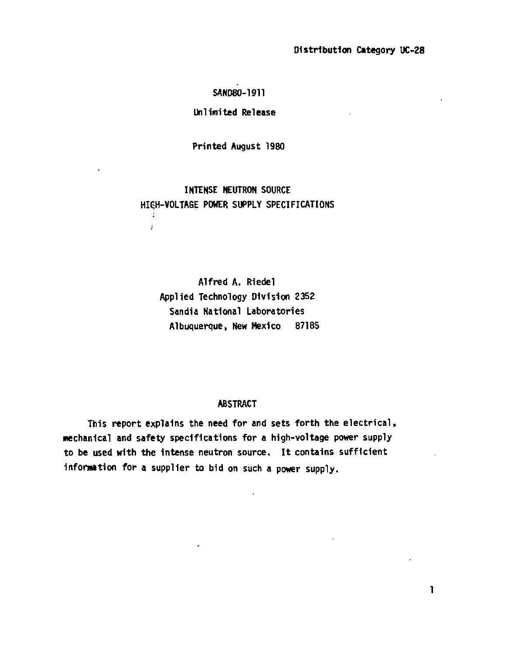**SAND80-1911** 

**Unlimited Release** 

**Printed August 1980** 

**INTENSE NEUTRON SOURCE HIQH-VOLTAGE POWER SUPPLY SPECIFICATIONS** 

 $\mathbf{i}$ 

**Alfred A. Riedel Applied Technology Division 2352 Sandia National Laboratories Albuquerque, New Mexico 87185** 

### **ABSTRACT**

**This report explains the need for and sets forth the electrical , mechanical and safety specifications for a high-voltage power supply to be used with the intense neutron source. I t contains sufficient Information for a supplier to bid on such a power supply.** 

**1**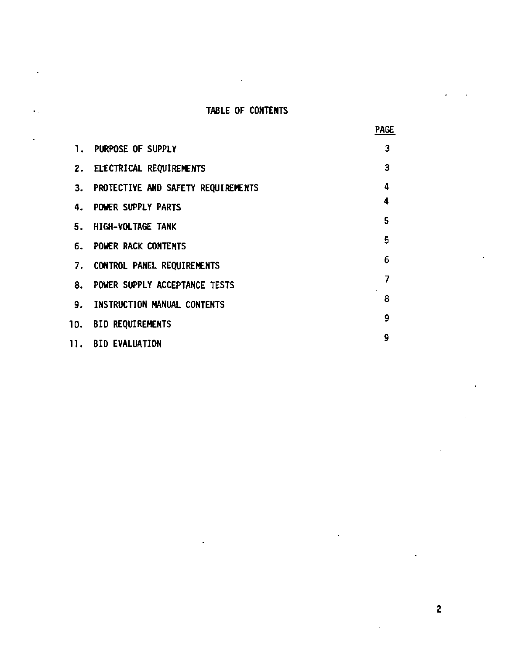## **TABLE OF CONTENTS**

ł,

 $\ddot{\phantom{a}}$ 

|    |                                    | PAGE |
|----|------------------------------------|------|
| 1. | PURPOSE OF SUPPLY                  | 3    |
| 2. | ELECTRICAL REQUIREMENTS            | 3    |
| 3. | PROTECTIVE AND SAFETY REQUIREMENTS | 4    |
| 4. | POWER SUPPLY PARTS                 | 4    |
|    | 5. HIGH-VOLTAGE TANK               | 5    |
| 6. | POWER RACK CONTENTS                | 5    |
| 7. | CONTROL PANEL REQUIREMENTS         | 6    |
| 8. | POWER SUPPLY ACCEPTANCE TESTS      | 7    |
|    | 9. INSTRUCTION MANUAL CONTENTS     | 8    |
|    | 10. BID REQUIREMENTS               | 9    |
|    | <b>11. BID EVALUATION</b>          | 9    |

 $\overline{a}$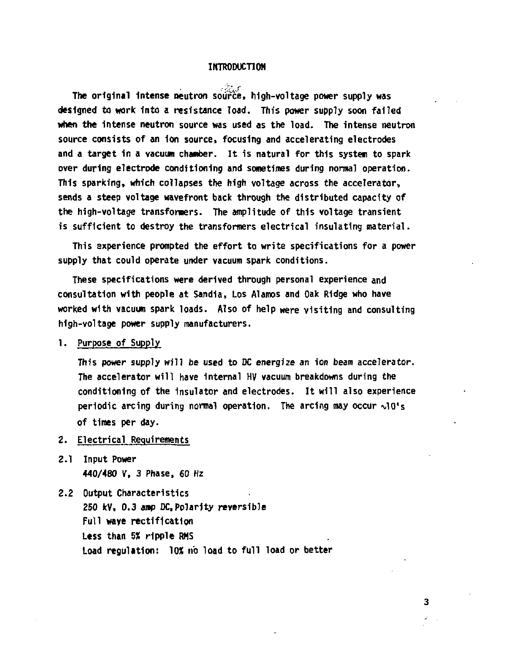### **INTRODUCTION**

**The original Intense neutron source, high-voltage power supply was designed to work into a resistance load. This power supply soon failed when the Intense neutron source was used as the load. The intense neutron source consists of an ion source, focusing and accelerating electrodes and a target in a vacuum chamber. It is natural for this system to spark over during electrode conditioning and sometimes during normal operation. This sparking, which collapses the high voltage across the accelerator, sends a steep voltage wavefront back through the distributed capacity of the high-voltage transformers. The amplitude of this voltage transient is sufficient to destroy the transformers electrical insulating material.** 

**This experience prompted the effort to write specifications for a power supply that could operate under vacuum spark conditions.** 

**These specifications were derived through personal experience and consultation with people at Sandia, Los Alamos and Oak Ridge who have worked with vacuum spark loads. Also of help were visiting and consulting high-voltage power supply manufacturers.** 

### **1 . Purpose of Supply**

This power supply will be used to DC energize an ion beam accelerator. The accelerator will have internal HV vacuum breakdowns during the conditioning of the insulator and electrodes. It will also experience periodic arcing during normal operation. The arcing may occur  $\sqrt{10}$ 's of times per day.

3

### **2. Electrical Requirements**

- **2.1 Input Power**  440/480 V, 3 Phase, 60 Hz
- 2.2 Output Characteristics 250 kV, 0.3 anp DC,Polarity reversible Full **wave** rectification **Less than** 5\* ripple RMS Load regulation: 10% no load to full load or better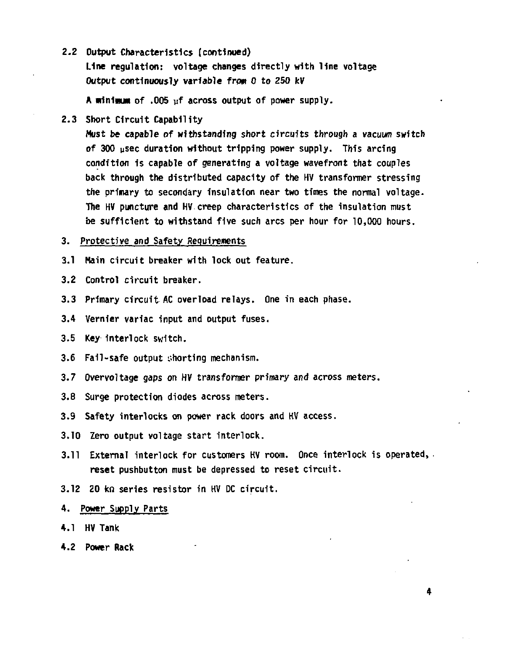**2.2 Output Characteristics (continued)** 

**Line regulation: voltage changes directly with line voltage Output continuously variable from 0 to 250 kV** 

**A nlnlnun of .005 yf across output of power supply.** 

**2.3 Short Circuit Capability** 

**Must be capable of withstanding short circuits through a vacuum switch of 300 usee duration without tripping power supply. This arcing condition Is capable of generating a voltage wavefront that couples back through the distributed capacity of the HV transformer stressing the primary to secondary insulation near two times the normal voltage. The HV puncture and HV creep characteristics of the insulation must be sufficient to withstand five such arcs per hour for 10,000 hours.** 

- **3. Protective and Safety Requirements**
- **3.1 Main circuit breaker with lock out feature.**
- **3.2 Control circuit breaker.**
- **3.3 Primary circuit AC overload relays. One in each phase.**
- **3.4 Vernier varlac input and output fuses.**
- **3.5 Key Interlock switch.**
- **3.6 Fall-safe output shorting mechanism.**
- **3.7 Overvoltage gaps on HV transformer primary and across meters.**
- **3.8 Surge protection diodes across meters.**
- **3.9 Safety interlocks on power rack doors and HV access.**
- **3.10 Zero output voltage start interlock.**
- **3.11 External interlock for customers HV room. Once interlock is operated, reset pushbutton must be depressed to reset circuit.**
- **3.12 20 kn series resistor in HV DC circuit.**
- **4. Power Supply Parts**
- **4.1 HV Tank**
- **4.2 Power Rack**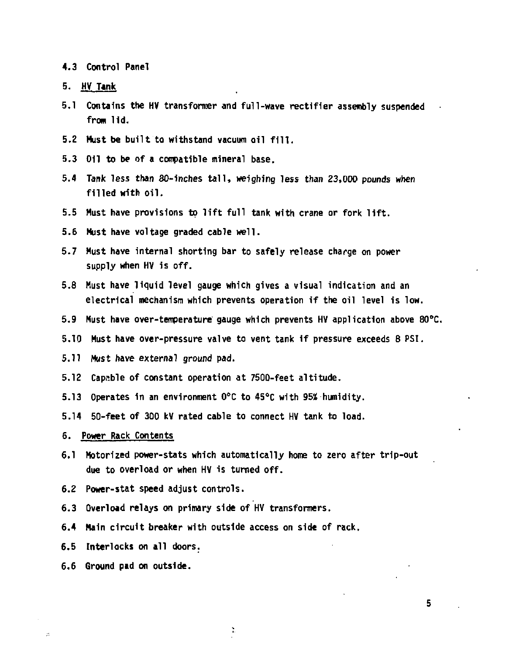- 4.3 Control Panel
- 5. HV **Tank**
- 5.1 Contains the HV transformer and full-wave rectifier assembly suspended from lid.
- 5.2 Must be built to withstand vacuum oil fill.
- 5.3 011 to be of a compatible mineral base.
- 5.4 Tank less than 30-inches tall, weighing less than 23,000 pounds when filled with oil.
- 5.5 Must have provisions to lift full tank with crane or fork lift.
- 5.6 Must have voltage graded cable well.
- 5.7 Must have internal shorting bar to safely release charge on power supply when HV is off.
- 5.8 Must have liquid level gauge which gives a visual indication and an electrical mechanism which prevents operation if the oil level is low.
- 5.9 Must have over-temperature gauge which prevents HV application above 80°C.
- 5.10 Must have over-pressure valve to vent tank if pressure exceeds 8 PSI.
- 5.11 Must have external ground pad.
- 5.12 Capable of constant operation at 7500-feet altitude.
- 5.13 Operates in an environment 0°C to 45°C with 95% humidity.
- 5.14 50-feet of 300 kV rated cable to connect HV tank to load.
- 6. Power Rack Contents
- 6.1 Motorized power-stats which automatically home to zero after trip-out due to overload or when HV is turned off.

 $\ddot{\phantom{a}}$ 

- 6.2 Power-stat speed adjust controls.
- 6.3 **Overload** relays on primary side of HV transformers.
- 6.4 Main circuit breaker with outside access on side of rack.

6.5 Interlocks on all doors.

6.6 Ground **pad** on outside.

i.

5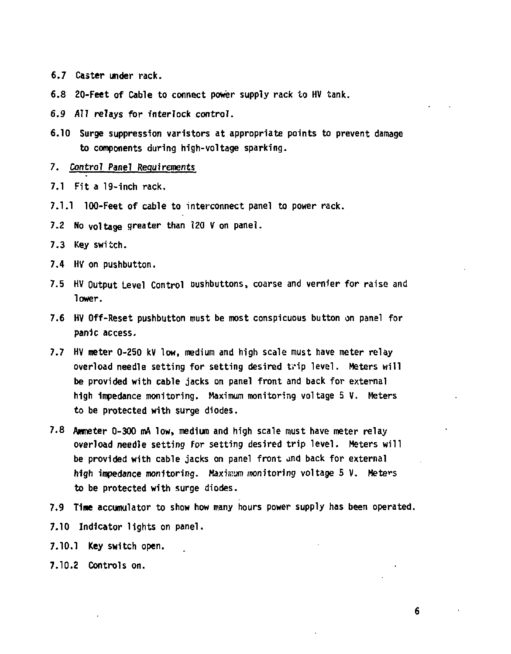- 6.7 Caster under rack.
- 6.8 20-Feet of Cable to connect power supply rack to HV tank.
- 6.9 All relays for interlock control.
- 6.10 Surge suppression varistors at appropriate points to prevent damage to components during high-voltage sparking.
- 7. Control Panel Requirements
- 7.1 Fit a 19-inch rack.
- 7.1.1 100-Feet of cable to interconnect panel to power rack.
- 7.2 No voltage greater than 120 V on panel.
- **7.3 Key switch.**
- **7.4 HV on pushbutton.**
- 7.5 HV Output Level Control bushbuttons, coarse and vernier for raise and lower.
- 7.6 HV Off-Reset pushbutton must be most conspicuous button on panel for panic access.
- 7.7 HV meter 0-250 kV low, medium and high scale must have meter relay overload needle setting for setting desired trip level. Meters will be provided with cable jacks on panel front and back for external high impedance monitoring. Maximum monitoring voltage 5 V. Meters to be protected with surge diodes.
- 7.8 Ammeter 0-300 mA low, medium and high scale must have meter relay overload needle setting for setting desired trip level. Meters will be provided with cable jacks on panel front and back for external high impedance monitoring. Maximum monitoring voltage S V. Meters to be protected with surge diodes.
- 7.9 Tine accumulator to show how many hours power supply has been operated.
- 7.10 Indicator lights on panel.
- 7.10.1 Key switch open.
- 7.10.2 Controls on.

6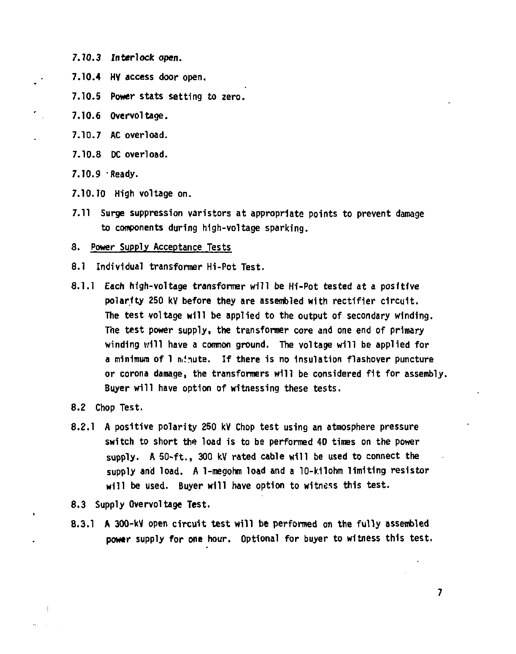- **7.10.3 Interlock open.**
- **7.10.4 HV access door open.**
- **7.10.5 Power stats setting to zero.**
- **7.10.6 Overvoltage.**
- **7.10.7 AC overload.**
- **7.10.8 DC overload.**
- **7.10.9 Ready.**
- **7.10.10 High voltage on.**
- **7.11 Surge suppression varistors at appropriate points to prevent damage to components during high-voltage sparking.**

### **8. Power Supply Acceptance Tests**

- **8.1 Individual transformer Hi-Pot Test.**
- **8.1.1 Each high-voltage transformer will be Hi-Pot tested at a positive polarity 250 kV before they are assembled with rectifier circuit. The test voltage will be applied to the output of secondary winding. The test power supply, the transformer core and one end of primary winding will have a common ground. The voltage will be applied for a minimum of 1 niinute. If there is no insulation flashover puncture or corona damage, the transformers will be considered fit for assembly. Buyer will have option of witnessing these tests.**
- **8.2 Chop Test.**

 $\frac{1}{2}$ 

- **8.2.1 A positive polarity 250 kV Chop test using an atmosphere pressure switch to short the load is to be performed 40 times on the power supply. A 50-ft., 300 kV rated cable will be used to connect the supply and load. A 1-megohm load and a I0-k1lohm limiting resistor will be used. Buyer will have option to witness this test.**
- **8.3 Supply Overvoltage Test.**
- **8.3.1 A 300-kV open circuit test will be performed on the fully assembled power supply for one hour. Optional for buyer to witness this test.**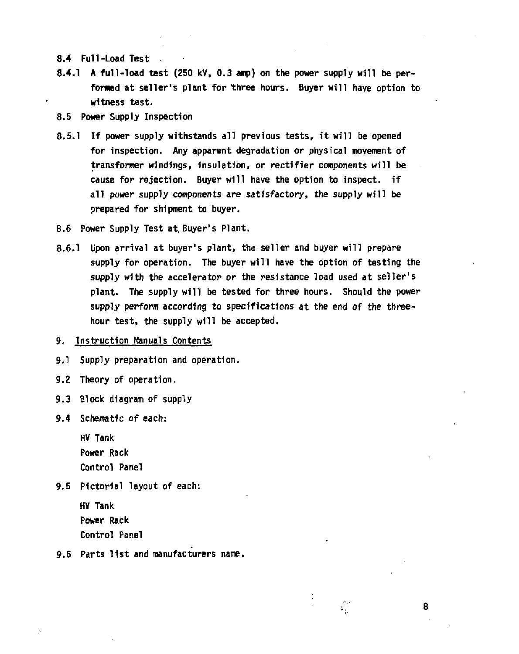- 8.4 Full-Load Test
- 8.4.1 A full-load test (250 kV, 0.3 amp) on the power supply will be performed at seller's plant for three hours. Buyer will have option to witness test.
- 8.5 Power Supply Inspection
- 8.5.1 If power supply withstands all previous tests, it will be opened for inspection. Any apparent degradation or physical movement of transformer windings, insulation, or rectifier components will be cause for rejection. Buyer will have the option to inspect. if all power supply components are satisfactory, the supply will be prepared for shipment to buyer.
- 8.6 Power Supply Test at, Buyer's Plant.
- 8.6.1 Upon arrival at buver's plant, the seller and buyer will prepare supply for operation. The buyer will have the option of testing the supply with the accelerator or the resistance load used at seller's plant. The supply will be tested for three hours. Should the power supply perform according to specifications at the end of the threehour test, the supply will be accepted.

**8** 

9. Instruction Manuals Contents

9.1 Supply preparation and operation.

- 9.2 Theory of operation.
- 9.3 Block diagram of supply
- 9.4 Schematic of each:

**HV Tank Power Rack Control Panel** 

**9.5 Pictorial layout of each:** 

**HV Tank Power Rack Control Panel** 

**9.6 Parts 11st and manufacturers name.**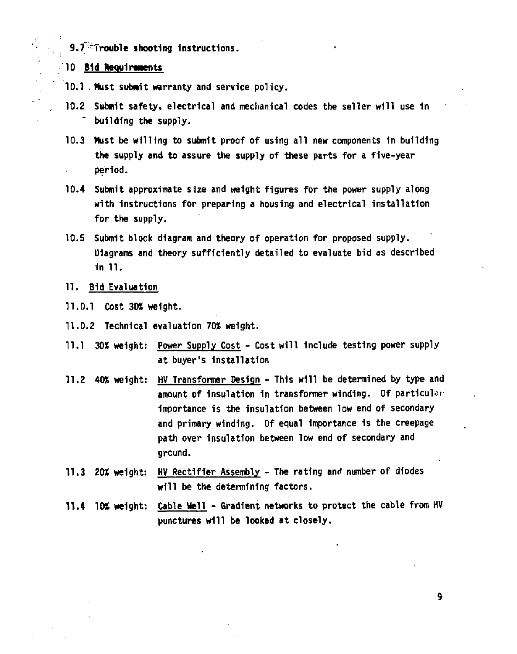**9.?~Ti\*ouble shooting Instructions.** 

### **10 Bid Requirements**

- **10.1 . Must submit warranty and service policy.**
- **10.2 Submit safety, electrical and mechanical codes the seller will use 1n building the supply.**
- **10.3 Must be willing to submit proof of using all new components 1n building the supply and to assure the supply of these parts for a five-year period.**
- **10.4 Submit approximate size and weight figures for the power supply along with Instructions for preparing a housing and electrical installation for the supply.**
- **10.5 Submit block diagram and theory of operation for proposed supply. Diagrams and theory sufficiently detailed to evaluate bid as described 1n 11.**

### **11. Bid Evaluation**

- **11.0.1 Cost 30\* weight.**
- **11.0.2 Technical evaluation 70% weight.**
- **11.1 30% weight: Power Supply Cost Cost will Include testing power supply at buyer's Installation**
- **11.2 40% weight: HV Transformer Design This will be determined by type and amount of insulation in transformer winding. Of particular importance is the insulation between low end of secondary and primary winding. Of equal Importance 1s the creepage path over insulation between low end of secondary and grcund.**
- **11.3 20% weight: HV Rectifier Assembly The rating and number of diodes will be the determining factors.**
- 11.4 10% weight: Cable Well Gradient networks to protect the cable from HV **punctures will be looked at closely.**